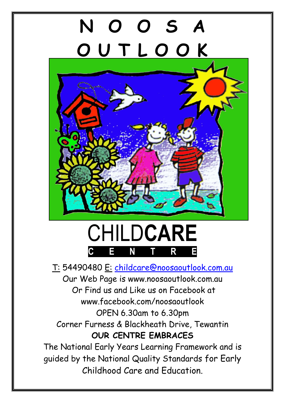

# CHILD**CARE C E N T R E**

### T: 54490480 E: [childcare@noosaoutlook.com.au](mailto:childcare@noosaoutlook.com.au) Our Web Page is www.noosaoutlook.com.au Or Find us and Like us on Facebook at www.facebook.com/noosaoutlook OPEN 6.30am to 6.30pm Corner Furness & Blackheath Drive, Tewantin **OUR CENTRE EMBRACES** The National Early Years Learning Framework and is guided by the National Quality Standards for Early

Childhood Care and Education.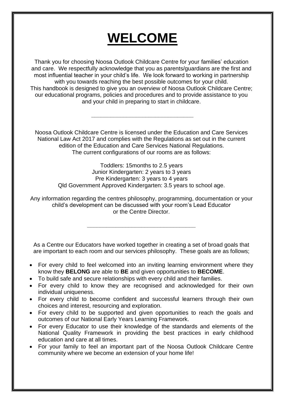# **WELCOME**

Thank you for choosing Noosa Outlook Childcare Centre for your families' education and care. We respectfully acknowledge that you as parents/guardians are the first and most influential teacher in your child's life. We look forward to working in partnership with you towards reaching the best possible outcomes for your child. This handbook is designed to give you an overview of Noosa Outlook Childcare Centre; our educational programs, policies and procedures and to provide assistance to you and your child in preparing to start in childcare.

Noosa Outlook Childcare Centre is licensed under the Education and Care Services National Law Act 2017 and complies with the Regulations as set out in the current edition of the Education and Care Services National Regulations. The current configurations of our rooms are as follows:

**\_\_\_\_\_\_\_\_\_\_\_\_\_\_\_\_\_\_\_\_\_\_\_\_\_\_\_\_\_\_\_\_**

Toddlers: 15months to 2.5 years Junior Kindergarten: 2 years to 3 years Pre Kindergarten: 3 years to 4 years Qld Government Approved Kindergarten: 3.5 years to school age.

Any information regarding the centres philosophy, programming, documentation or your child's development can be discussed with your room's Lead Educator or the Centre Director.

**\_\_\_\_\_\_\_\_\_\_\_\_\_\_\_\_\_\_\_\_\_\_\_\_\_\_\_\_\_\_\_\_\_\_**

As a Centre our Educators have worked together in creating a set of broad goals that are important to each room and our services philosophy. These goals are as follows;

- For every child to feel welcomed into an inviting learning environment where they know they **BELONG** are able to **BE** and given opportunities to **BECOME**.
- To build safe and secure relationships with every child and their families.
- For every child to know they are recognised and acknowledged for their own individual uniqueness.
- For every child to become confident and successful learners through their own choices and interest, resourcing and exploration.
- For every child to be supported and given opportunities to reach the goals and outcomes of our National Early Years Learning Framework.
- For every Educator to use their knowledge of the standards and elements of the National Quality Framework in providing the best practices in early childhood education and care at all times.
- For your family to feel an important part of the Noosa Outlook Childcare Centre community where we become an extension of your home life!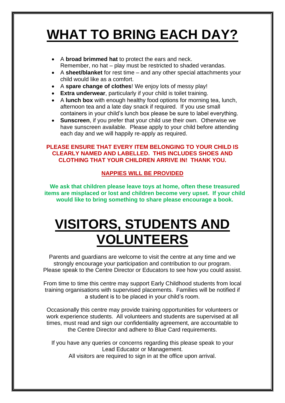# **WHAT TO BRING EACH DAY?**

- A **broad brimmed hat** to protect the ears and neck. Remember, no hat – play must be restricted to shaded verandas.
- A **sheet/blanket** for rest time and any other special attachments your child would like as a comfort.
- A **spare change of clothes**! We enjoy lots of messy play!
- **Extra underwear**, particularly if your child is toilet training.
- A **lunch box** with enough healthy food options for morning tea, lunch, afternoon tea and a late day snack if required. If you use small containers in your child's lunch box please be sure to label everything.
- **Sunscreen**, if you prefer that your child use their own. Otherwise we have sunscreen available. Please apply to your child before attending each day and we will happily re-apply as required.

### **PLEASE ENSURE THAT EVERY ITEM BELONGING TO YOUR CHILD IS CLEARLY NAMED AND LABELLED. THIS INCLUDES SHOES AND CLOTHING THAT YOUR CHILDREN ARRIVE IN! THANK YOU.**

### **NAPPIES WILL BE PROVIDED**

**We ask that children please leave toys at home, often these treasured items are misplaced or lost and children become very upset. If your child would like to bring something to share please encourage a book.**

# **VISITORS, STUDENTS AND VOLUNTEERS**

Parents and guardians are welcome to visit the centre at any time and we strongly encourage your participation and contribution to our program. Please speak to the Centre Director or Educators to see how you could assist.

From time to time this centre may support Early Childhood students from local training organisations with supervised placements. Families will be notified if a student is to be placed in your child's room.

Occasionally this centre may provide training opportunities for volunteers or work experience students. All volunteers and students are supervised at all times, must read and sign our confidentiality agreement, are accountable to the Centre Director and adhere to Blue Card requirements.

If you have any queries or concerns regarding this please speak to your Lead Educator or Management.

All visitors are required to sign in at the office upon arrival.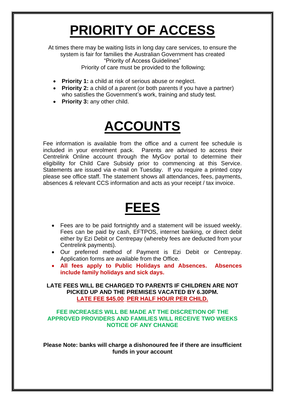### **PRIORITY OF ACCESS**

At times there may be waiting lists in long day care services, to ensure the system is fair for families the Australian Government has created "Priority of Access Guidelines" Priority of care must be provided to the following;

- **Priority 1:** a child at risk of serious abuse or neglect.
- **Priority 2:** a child of a parent (or both parents if you have a partner) who satisfies the Government's work, training and study test.
- **Priority 3:** any other child.

# **ACCOUNTS**

Fee information is available from the office and a current fee schedule is included in your enrolment pack. Parents are advised to access their Centrelink Online account through the MyGov portal to determine their eligibility for Child Care Subsidy prior to commencing at this Service. Statements are issued via e-mail on Tuesday. If you require a printed copy please see office staff. The statement shows all attendances, fees, payments, absences & relevant CCS information and acts as your receipt / tax invoice.



- Fees are to be paid fortnightly and a statement will be issued weekly. Fees can be paid by cash, EFTPOS, internet banking, or direct debit either by Ezi Debit or Centrepay (whereby fees are deducted from your Centrelink payments).
- Our preferred method of Payment is Ezi Debit or Centrepay. Application forms are available from the Office.
- **All fees apply to Public Holidays and Absences. Absences include family holidays and sick days.**

**LATE FEES WILL BE CHARGED TO PARENTS IF CHILDREN ARE NOT PICKED UP AND THE PREMISES VACATED BY 6.30PM. LATE FEE \$45.00\_PER HALF HOUR PER CHILD.**

#### **FEE INCREASES WILL BE MADE AT THE DISCRETION OF THE APPROVED PROVIDERS AND FAMILIES WILL RECEIVE TWO WEEKS NOTICE OF ANY CHANGE**

**Please Note: banks will charge a dishonoured fee if there are insufficient funds in your account**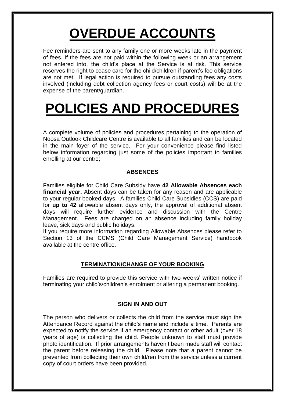# **OVERDUE ACCOUNTS**

Fee reminders are sent to any family one or more weeks late in the payment of fees. If the fees are not paid within the following week or an arrangement not entered into, the child's place at the Service is at risk. This service reserves the right to cease care for the child/children if parent's fee obligations are not met. If legal action is required to pursue outstanding fees any costs involved (including debt collection agency fees or court costs) will be at the expense of the parent/guardian.

# **POLICIES AND PROCEDURES**

A complete volume of policies and procedures pertaining to the operation of Noosa Outlook Childcare Centre is available to all families and can be located in the main foyer of the service. For your convenience please find listed below information regarding just some of the policies important to families enrolling at our centre;

### **ABSENCES**

Families eligible for Child Care Subsidy have **42 Allowable Absences each financial year.** Absent days can be taken for any reason and are applicable to your regular booked days. A families Child Care Subsidies (CCS) are paid for **up to 42** allowable absent days only, the approval of additional absent days will require further evidence and discussion with the Centre Management. Fees are charged on an absence including family holiday leave, sick days and public holidays.

If you require more information regarding Allowable Absences please refer to Section 13 of the CCMS (Child Care Management Service) handbook available at the centre office.

#### **TERMINATION/CHANGE OF YOUR BOOKING**

Families are required to provide this service with two weeks' written notice if terminating your child's/children's enrolment or altering a permanent booking.

### **SIGN IN AND OUT**

The person who delivers or collects the child from the service must sign the Attendance Record against the child's name and include a time. Parents are expected to notify the service if an emergency contact or other adult (over 18 years of age) is collecting the child. People unknown to staff must provide photo identification. If prior arrangements haven't been made staff will contact the parent before releasing the child. Please note that a parent cannot be prevented from collecting their own child/ren from the service unless a current copy of court orders have been provided.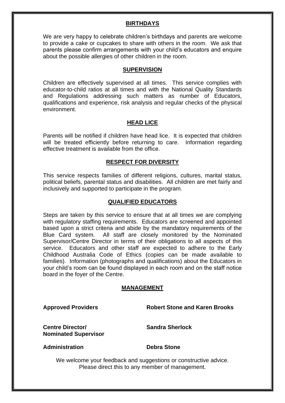#### **BIRTHDAYS**

We are very happy to celebrate children's birthdays and parents are welcome to provide a cake or cupcakes to share with others in the room. We ask that parents please confirm arrangements with your child's educators and enquire about the possible allergies of other children in the room.

#### **SUPERVISION**

Children are effectively supervised at all times. This service complies with educator-to-child ratios at all times and with the National Quality Standards and Regulations addressing such matters as number of Educators, qualifications and experience, risk analysis and regular checks of the physical environment.

#### **HEAD LICE**

Parents will be notified if children have head lice. It is expected that children will be treated efficiently before returning to care. Information regarding effective treatment is available from the office.

#### **RESPECT FOR DIVERSITY**

This service respects families of different religions, cultures, marital status, political beliefs, parental status and disabilities. All children are met fairly and inclusively and supported to participate in the program.

#### **QUALIFIED EDUCATORS**

Steps are taken by this service to ensure that at all times we are complying with regulatory staffing requirements. Educators are screened and appointed based upon a strict criteria and abide by the mandatory requirements of the Blue Card system. All staff are closely monitored by the Nominated Supervisor/Centre Director in terms of their obligations to all aspects of this service. Educators and other staff are expected to adhere to the Early Childhood Australia Code of Ethics (copies can be made available to families). Information (photographs and qualifications) about the Educators in your child's room can be found displayed in each room and on the staff notice board in the foyer of the Centre.

#### **MANAGEMENT**

**Approved Providers Robert Stone and Karen Brooks**

**Centre Director/ Sandra Sherlock Nominated Supervisor** 

#### **Administration Debra Stone**

We welcome your feedback and suggestions or constructive advice. Please direct this to any member of management.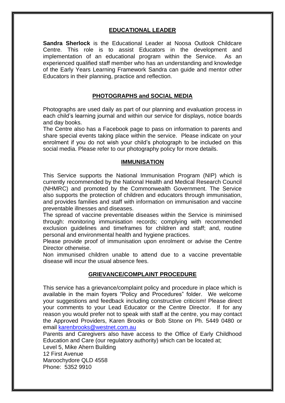#### **EDUCATIONAL LEADER**

**Sandra Sherlock** is the Educational Leader at Noosa Outlook Childcare Centre. This role is to assist Educators in the development and implementation of an educational program within the Service. As an experienced qualified staff member who has an understanding and knowledge of the Early Years Learning Framework Sandra can guide and mentor other Educators in their planning, practice and reflection.

### **PHOTOGRAPHS and SOCIAL MEDIA**

Photographs are used daily as part of our planning and evaluation process in each child's learning journal and within our service for displays, notice boards and day books.

The Centre also has a Facebook page to pass on information to parents and share special events taking place within the service. Please indicate on your enrolment if you do not wish your child's photograph to be included on this social media. Please refer to our photography policy for more details.

#### **IMMUNISATION**

This Service supports the National Immunisation Program (NIP) which is currently recommended by the National Health and Medical Research Council (NHMRC) and promoted by the Commonwealth Government. The Service also supports the protection of children and educators through immunisation, and provides families and staff with information on immunisation and vaccine preventable illnesses and diseases.

The spread of vaccine preventable diseases within the Service is minimised through: monitoring immunisation records; complying with recommended exclusion guidelines and timeframes for children and staff; and, routine personal and environmental health and hygiene practices.

Please provide proof of immunisation upon enrolment or advise the Centre Director otherwise.

Non immunised children unable to attend due to a vaccine preventable disease will incur the usual absence fees.

#### **GRIEVANCE/COMPLAINT PROCEDURE**

This service has a grievance/complaint policy and procedure in place which is available in the main foyers "Policy and Procedures" folder. We welcome your suggestions and feedback including constructive criticism! Please direct your comments to your Lead Educator or the Centre Director. If for any reason you would prefer not to speak with staff at the centre, you may contact the Approved Providers, Karen Brooks or Bob Stone on Ph. 5449 0480 or email [karenbrooks@westnet.com.au](mailto:karenbrooks@westnet.com.au)

Parents and Caregivers also have access to the Office of Early Childhood Education and Care (our regulatory authority) which can be located at;

Level 5, Mike Ahern Building 12 First Avenue Maroochydore QLD 4558 Phone: 5352 9910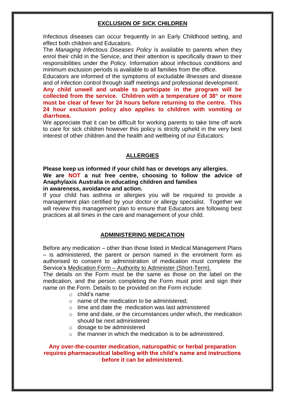#### **EXCLUSION OF SICK CHILDREN**

Infectious diseases can occur frequently in an Early Childhood setting, and effect both children and Educators.

The *Managing Infectious Diseases Policy* is available to parents when they enrol their child in the Service, and their attention is specifically drawn to their responsibilities under the Policy. Information about infectious conditions and minimum exclusion periods is available to all families from the office.

Educators are informed of the symptoms of excludable illnesses and disease and of infection control through staff meetings and professional development.

**Any child unwell and unable to participate in the program will be collected from the service. Children with a temperature of 38° or more must be clear of fever for 24 hours before returning to the centre. This 24 hour exclusion policy also applies to children with vomiting or diarrhoea.**

We appreciate that it can be difficult for working parents to take time off work to care for sick children however this policy is strictly upheld in the very best interest of other children and the health and wellbeing of our Educators.

#### **ALLERGIES**

#### **Please keep us informed if your child has or develops any allergies. We are NOT a nut free centre, choosing to follow the advice of Anaphylaxis Australia in educating children and families in awareness, avoidance and action.**

If your child has asthma or allergies you will be required to provide a management plan certified by your doctor or allergy specialist. Together we will review this management plan to ensure that Educators are following best practices at all times in the care and management of your child.

#### **ADMINISTERING MEDICATION**

Before any medication – other than those listed in Medical Management Plans – is administered, the parent or person named in the enrolment form as authorised to consent to administration of medication must complete the Service's Medication Form – Authority to Administer (Short-Term).

The details on the Form must be the same as those on the label on the medication, and the person completing the Form must print and sign their name on the Form. Details to be provided on the Form include:

- o child's name
- o name of the medication to be administered;
- $\circ$  time and date the medication was last administered
- $\circ$  time and date, or the circumstances under which, the medication should be next administered
- o dosage to be administered
- $\circ$  the manner in which the medication is to be administered.

#### **Any over-the-counter medication, naturopathic or herbal preparation requires pharmaceutical labelling with the child's name and instructions before it can be administered.**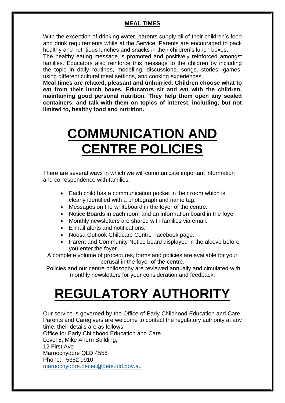#### **MEAL TIMES**

With the exception of drinking water, parents supply all of their children's food and drink requirements while at the Service. Parents are encouraged to pack healthy and nutritious lunches and snacks in their children's lunch boxes.

The healthy eating message is promoted and positively reinforced amongst families. Educators also reinforce this message to the children by including the topic in daily routines, modelling, discussions, songs, stories, games, using different cultural meal settings, and cooking experiences.

**Meal times are relaxed, pleasant and unhurried. Children choose what to eat from their lunch boxes. Educators sit and eat with the children, maintaining good personal nutrition. They help them open any sealed containers, and talk with them on topics of interest, including, but not limited to, healthy food and nutrition.**

### **COMMUNICATION AND CENTRE POLICIES**

There are several ways in which we will communicate important information and correspondence with families;

- Each child has a communication pocket in their room which is clearly identified with a photograph and name tag.
- Messages on the whiteboard in the foyer of the centre.
- Notice Boards in each room and an information board in the foyer.
- Monthly newsletters are shared with families via email.
- E-mail alerts and notifications.
- Noosa Outlook Childcare Centre Facebook page.
- Parent and Community Notice board displayed in the alcove before you enter the foyer.
- A complete volume of procedures, forms and policies are available for your perusal in the foyer of the centre.

Policies and our centre philosophy are reviewed annually and circulated with monthly newsletters for your consideration and feedback.

# **REGULATORY AUTHORITY**

Our service is governed by the Office of Early Childhood Education and Care. Parents and Caregivers are welcome to contact the regulatory authority at any time, their details are as follows;

Office for Early Childhood Education and Care

Level 5, Mike Ahern Building,

12 First Ave

Maroochydore QLD 4558 Phone: 5352 9910

[maroochydore.oecec@dete.qld.gov.au](mailto:maroochydore.oecec@dete.qld.gov.au)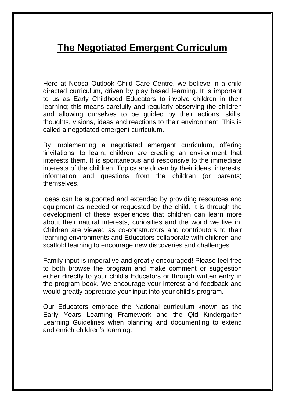### **The Negotiated Emergent Curriculum**

Here at Noosa Outlook Child Care Centre, we believe in a child directed curriculum, driven by play based learning. It is important to us as Early Childhood Educators to involve children in their learning; this means carefully and regularly observing the children and allowing ourselves to be guided by their actions, skills, thoughts, visions, ideas and reactions to their environment. This is called a negotiated emergent curriculum.

By implementing a negotiated emergent curriculum, offering 'invitations' to learn, children are creating an environment that interests them. It is spontaneous and responsive to the immediate interests of the children. Topics are driven by their ideas, interests, information and questions from the children (or parents) themselves.

Ideas can be supported and extended by providing resources and equipment as needed or requested by the child. It is through the development of these experiences that children can learn more about their natural interests, curiosities and the world we live in. Children are viewed as co-constructors and contributors to their learning environments and Educators collaborate with children and scaffold learning to encourage new discoveries and challenges.

Family input is imperative and greatly encouraged! Please feel free to both browse the program and make comment or suggestion either directly to your child's Educators or through written entry in the program book. We encourage your interest and feedback and would greatly appreciate your input into your child's program.

Our Educators embrace the National curriculum known as the Early Years Learning Framework and the Qld Kindergarten Learning Guidelines when planning and documenting to extend and enrich children's learning.